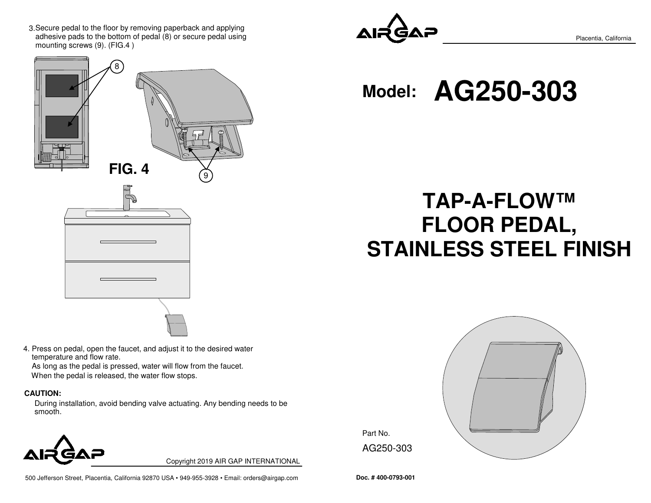3. Secure pedal to the floor by removing paperback and applying adhesive pads to the bottom of pedal (8) or secure pedal using mounting screws (9). (FIG.4 )



4. Press on pedal, open the faucet, and adjust it to the desired water temperature and flow rate.

 As long as the pedal is pressed, water will flow from the faucet.When the pedal is released, the water flow stops.

#### **CAUTION:**

During installation, avoid bending valve actuating. Any bending needs to be smooth.



Copyright 2019 AIR GAP INTERNATIONAL





Placentia, California

**Model: AG250-303**

# **TAP-A-FLOW™ FLOOR PEDAL,STAINLESS STEEL FINISH**

**Doc. # 400-0793-001**

AG250-303

Part No.